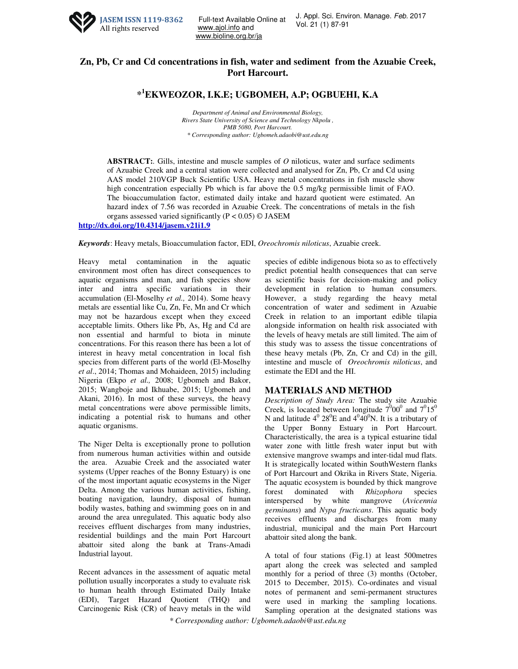

Full-text Available Online at U. Appl. Sci. Erivi<br>Vol. 21 (1) 87-91 www.ajol.info and www.bioline.org.br/ja

## **Zn, Pb, Cr and Cd concentrations in fish, water and sediment from the Azuabie Creek, Port Harcourt.**

**\* <sup>1</sup>EKWEOZOR, I.K.E; UGBOMEH, A.P; OGBUEHI, K.A**

*Department of Animal and Environmental Biology, Rivers State University of Science and Technology Nkpolu , PMB 5080, Port Harcourt. \* Corresponding author: Ugbomeh.adaobi@ust.edu.ng* 

**ABSTRACT:***.* Gills, intestine and muscle samples of *O* niloticus, water and surface sediments of Azuabie Creek and a central station were collected and analysed for Zn, Pb, Cr and Cd using AAS model 210VGP Buck Scientific USA. Heavy metal concentrations in fish muscle show high concentration especially Pb which is far above the 0.5 mg/kg permissible limit of FAO. The bioaccumulation factor, estimated daily intake and hazard quotient were estimated. An hazard index of 7.56 was recorded in Azuabie Creek. The concentrations of metals in the fish organs assessed varied significantly ( $P < 0.05$ ) © JASEM

**http://dx.doi.org/10.4314/jasem.v21i1.9** 

*Keywords*: Heavy metals, Bioaccumulation factor, EDI, *Oreochromis niloticus*, Azuabie creek.

Heavy metal contamination in the aquatic environment most often has direct consequences to aquatic organisms and man, and fish species show inter and intra specific variations in their accumulation (El-Moselhy *et al.,* 2014). Some heavy metals are essential like Cu, Zn, Fe, Mn and Cr which may not be hazardous except when they exceed acceptable limits. Others like Pb, As, Hg and Cd are non essential and harmful to biota in minute concentrations. For this reason there has been a lot of interest in heavy metal concentration in local fish species from different parts of the world (El-Moselhy *et al*., 2014; Thomas and Mohaideen, 2015) including Nigeria (Ekpo *et al.,* 2008; Ugbomeh and Bakor, 2015; Wangboje and Ikhuabe, 2015; Ugbomeh and Akani, 2016). In most of these surveys, the heavy metal concentrations were above permissible limits, indicating a potential risk to humans and other aquatic organisms.

The Niger Delta is exceptionally prone to pollution from numerous human activities within and outside the area. Azuabie Creek and the associated water systems (Upper reaches of the Bonny Estuary) is one of the most important aquatic ecosystems in the Niger Delta. Among the various human activities, fishing, boating navigation, laundry, disposal of human bodily wastes, bathing and swimming goes on in and around the area unregulated. This aquatic body also receives effluent discharges from many industries, residential buildings and the main Port Harcourt abattoir sited along the bank at Trans-Amadi Industrial layout.

Recent advances in the assessment of aquatic metal pollution usually incorporates a study to evaluate risk to human health through Estimated Daily Intake (EDI), Target Hazard Quotient (THQ) and Carcinogenic Risk (CR) of heavy metals in the wild species of edible indigenous biota so as to effectively predict potential health consequences that can serve as scientific basis for decision-making and policy development in relation to human consumers. However, a study regarding the heavy metal concentration of water and sediment in Azuabie Creek in relation to an important edible tilapia alongside information on health risk associated with the levels of heavy metals are still limited. The aim of this study was to assess the tissue concentrations of these heavy metals (Pb, Zn, Cr and Cd) in the gill, intestine and muscle of *Oreochromis niloticus*, and estimate the EDI and the HI.

## **MATERIALS AND METHOD**

*Description of Study Area:* The study site Azuabie Creek, is located between longitude  $7^{0}00^{0}$  and  $7^{0}15^{0}$ N and latitude  $4^{\circ}$  28<sup>0</sup>E and  $4^{\circ}40^{\circ}$ N. It is a tributary of the Upper Bonny Estuary in Port Harcourt. Characteristically, the area is a typical estuarine tidal water zone with little fresh water input but with extensive mangrove swamps and inter-tidal mud flats. It is strategically located within SouthWestern flanks of Port Harcourt and Okrika in Rivers State, Nigeria. The aquatic ecosystem is bounded by thick mangrove forest dominated with *Rhizophora* species interspersed by white mangrove (*Avicennia germinans*) and *Nypa fructicans*. This aquatic body receives effluents and discharges from many industrial, municipal and the main Port Harcourt abattoir sited along the bank.

A total of four stations (Fig.1) at least 500metres apart along the creek was selected and sampled monthly for a period of three (3) months (October, 2015 to December, 2015). Co-ordinates and visual notes of permanent and semi-permanent structures were used in marking the sampling locations. Sampling operation at the designated stations was

*\* Corresponding author: Ugbomeh.adaobi@ust.edu.ng*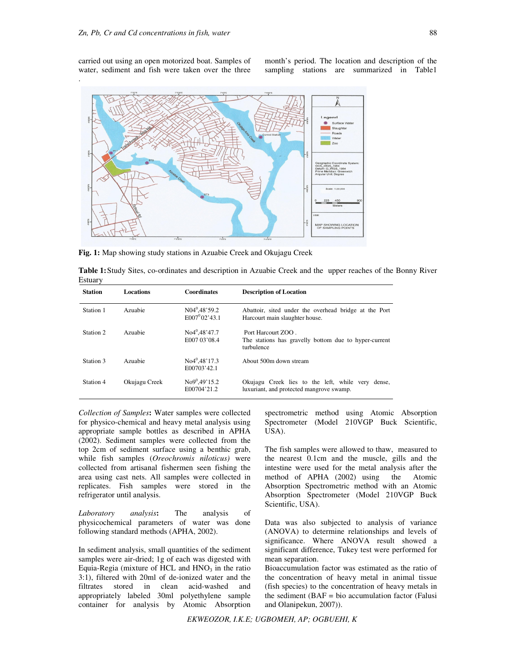carried out using an open motorized boat. Samples of water, sediment and fish were taken over the three

month's period. The location and description of the sampling stations are summarized in Table1



**Fig. 1:** Map showing study stations in Azuabie Creek and Okujagu Creek

| Table 1: Study Sites, co-ordinates and description in Azuabie Creek and the upper reaches of the Bonny River |  |  |  |
|--------------------------------------------------------------------------------------------------------------|--|--|--|
| Estuary                                                                                                      |  |  |  |

| <b>Station</b> | <b>Locations</b> | <b>Coordinates</b>                      | <b>Description of Location</b>                                                                |
|----------------|------------------|-----------------------------------------|-----------------------------------------------------------------------------------------------|
| Station 1      | Azuabie          | $N04^{0}$ .48'59.2<br>$E007^{0}02'43.1$ | Abattoir, sited under the overhead bridge at the Port<br>Harcourt main slaughter house.       |
| Station 2      | Azuabie          | $No4^0.48'47.7$<br>E007 03'08.4         | Port Harcourt ZOO.<br>The stations has gravelly bottom due to hyper-current<br>turbulence     |
| Station 3      | Azuabie          | $No4^0.48'17.3$<br>E00703'42.1          | About 500m down stream                                                                        |
| Station 4      | Okujagu Creek    | $No9^0.49'15.2$<br>E00704'21.2          | Okujagu Creek lies to the left, while very dense,<br>luxuriant, and protected mangrove swamp. |

*Collection of Samples***:** Water samples were collected for physico-chemical and heavy metal analysis using appropriate sample bottles as described in APHA (2002). Sediment samples were collected from the top 2cm of sediment surface using a benthic grab, while fish samples (*Oreochromis niloticus)* were collected from artisanal fishermen seen fishing the area using cast nets. All samples were collected in replicates. Fish samples were stored in the refrigerator until analysis.

*Laboratory analysis***:** The analysis of physicochemical parameters of water was done following standard methods (APHA, 2002).

In sediment analysis, small quantities of the sediment samples were air-dried; 1g of each was digested with Equia-Regia (mixture of HCL and  $HNO<sub>3</sub>$  in the ratio 3:1), filtered with 20ml of de-ionized water and the filtrates stored in clean acid-washed and appropriately labeled 30ml polyethylene sample container for analysis by Atomic Absorption

spectrometric method using Atomic Absorption Spectrometer (Model 210VGP Buck Scientific, USA).

The fish samples were allowed to thaw, measured to the nearest 0.1cm and the muscle, gills and the intestine were used for the metal analysis after the method of APHA (2002) using the Atomic Absorption Spectrometric method with an Atomic Absorption Spectrometer (Model 210VGP Buck Scientific, USA).

Data was also subjected to analysis of variance (ANOVA) to determine relationships and levels of significance. Where ANOVA result showed a significant difference, Tukey test were performed for mean separation.

Bioaccumulation factor was estimated as the ratio of the concentration of heavy metal in animal tissue (fish species) to the concentration of heavy metals in the sediment  $(BAF = bio accumulation factor (Falus)$ and Olanipekun, 2007)).

*EKWEOZOR, I.K.E; UGBOMEH, AP; OGBUEHI, K*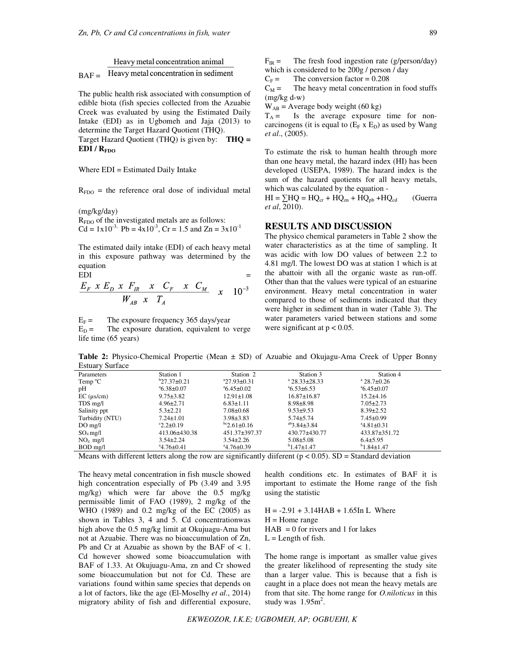Heavy metal concentration animal Heavy metal concentration in sediment  $BAF =$ 

The public health risk associated with consumption of edible biota (fish species collected from the Azuabie Creek was evaluated by using the Estimated Daily Intake (EDI) as in Ugbomeh and Jaja (2013) to determine the Target Hazard Quotient (THQ).

Target Hazard Quotient (THQ) is given by: **THQ = EDI / RFDO**

Where EDI = Estimated Daily Intake

 $R_{FDO}$  = the reference oral dose of individual metal

(mg/kg/day)  $R_{FDO}$  of the investigated metals are as follows:  $Cd = 1x10^{-3}$ ,  $Pb = 4x10^{-3}$ ,  $Cr = 1.5$  and  $Zn = 3x10^{-1}$ 

The estimated daily intake (EDI) of each heavy metal in this exposure pathway was determined by the equation<br>EDI

EDI  
\n
$$
\frac{E_F \times E_D \times F_R \times C_F \times C_M}{W_{AB} \times T_A} \times 10^{-3}
$$

 $E_F$  = The exposure frequency 365 days/year<br>  $E_D$  = The exposure duration, equivalent to

The exposure duration, equivalent to verge life time (65 years)

 $F_{IR}$  = The fresh food ingestion rate (g/person/day) which is considered to be 200g / person / day

 $C_F$  = The conversion factor = 0.208

 $C_M$  = The heavy metal concentration in food stuffs (mg/kg d-w)

 $W_{AB}$  = Average body weight (60 kg)

 $T_A =$  Is the average exposure time for noncarcinogens (it is equal to  $(E_F \times E_D)$ ) as used by Wang *et al*., (2005).

To estimate the risk to human health through more than one heavy metal, the hazard index (HI) has been developed (USEPA, 1989). The hazard index is the sum of the hazard quotients for all heavy metals, which was calculated by the equation -

 $HI = \sum HQ = HQ_{cr} + HQ_{zn} + HQ_{pb} + HQ_{cd}$  (Guerra *et al*, 2010).

## **RESULTS AND DISCUSSION**

The physico chemical parameters in Table 2 show the water characteristics as at the time of sampling. It was acidic with low DO values of between 2.2 to 4.81 mg/l. The lowest DO was at station 1 which is at the abattoir with all the organic waste as run-off. Other than that the values were typical of an estuarine environment. Heavy metal concentration in water compared to those of sediments indicated that they were higher in sediment than in water (Table 3). The water parameters varied between stations and some were significant at  $p < 0.05$ .

**Table 2:** Physico-Chemical Propertie (Mean ± SD) of Azuabie and Okujagu-Ama Creek of Upper Bonny Estuary Surface

| Parameters         | Station 1              | Station 2               | Station 3               | Station 4                  |
|--------------------|------------------------|-------------------------|-------------------------|----------------------------|
| Temp $\mathrm{C}$  | $b$ 27.37 $\pm$ 0.21   | $27.93 \pm 0.31$        | $a$ 28.33 $\pm$ 28.33   | $^{\circ}$ 28.7 $\pm$ 0.26 |
| pН                 | $46.38 \pm 0.07$       | $^{\circ}6.45\pm0.02$   | $^4$ 6.53 $\pm$ 6.53    | $^{\circ}6.45\pm0.07$      |
| $EC$ ( $\mu$ s/cm) | $9.75 \pm 3.82$        | $12.91 \pm 1.08$        | $16.87 \pm 16.87$       | $15.2 \pm 4.16$            |
| TDS mg/l           | $4.96 \pm 2.71$        | $6.83 \pm 1.11$         | $8.98 \pm 8.98$         | $7.05 \pm 2.73$            |
| Salinity ppt       | $5.3 + 2.21$           | $7.08 \pm 0.68$         | $9.53 + 9.53$           | $8.39 \pm 2.52$            |
| Turbidity (NTU)    | $7.24 \pm 1.01$        | $3.98 \pm 3.83$         | $5.74 \pm 5.74$         | $7.45 \pm 0.99$            |
| $DO$ mg/l          | $^{\circ}2.2 \pm 0.19$ | $\rm{^{bc}2.61\pm0.16}$ | $^{ab}$ 3.84 $\pm$ 3.84 | $4.81 \pm 0.31$            |
| $SO_4$ mg/l        | 413.06±430.38          | 451.37±397.37           | 430.77±430.77           | 433.87±351.72              |
| $NO4$ mg/l         | $3.54 \pm 2.24$        | $3.54 \pm 2.26$         | $5.08 \pm 5.08$         | $6.4 \pm 5.95$             |
| BOD mg/l           | $4.76 \pm 0.41$        | $4.76 \pm 0.39$         | $b$ 1.47 $\pm$ 1.47     | $b_{1.84 \pm 1.47}$        |

Means with different letters along the row are significantly different ( $p < 0.05$ ). SD = Standard deviation

The heavy metal concentration in fish muscle showed high concentration especially of Pb (3.49 and 3.95 mg/kg) which were far above the 0.5 mg/kg permissible limit of FAO (1989), 2 mg/kg of the WHO (1989) and 0.2 mg/kg of the EC (2005) as shown in Tables 3, 4 and 5. Cd concentrationwas high above the 0.5 mg/kg limit at Okujuagu-Ama but not at Azuabie. There was no bioaccumulation of Zn, Pb and Cr at Azuabie as shown by the BAF of < 1. Cd however showed some bioaccumulation with BAF of 1.33. At Okujuagu-Ama, zn and Cr showed some bioaccumulation but not for Cd. These are variations found within same species that depends on a lot of factors, like the age (El-Moselhy *et al*., 2014) migratory ability of fish and differential exposure,

health conditions etc. In estimates of BAF it is important to estimate the Home range of the fish using the statistic

 $H = -2.91 + 3.14HAB + 1.65In L$  Where  $H =$  Home range  $HAB = 0$  for rivers and 1 for lakes  $L =$  Length of fish.

The home range is important as smaller value gives the greater likelihood of representing the study site than a larger value. This is because that a fish is caught in a place does not mean the heavy metals are from that site. The home range for *O.niloticus* in this study was  $1.95m^2$ .

*EKWEOZOR, I.K.E; UGBOMEH, AP; OGBUEHI, K*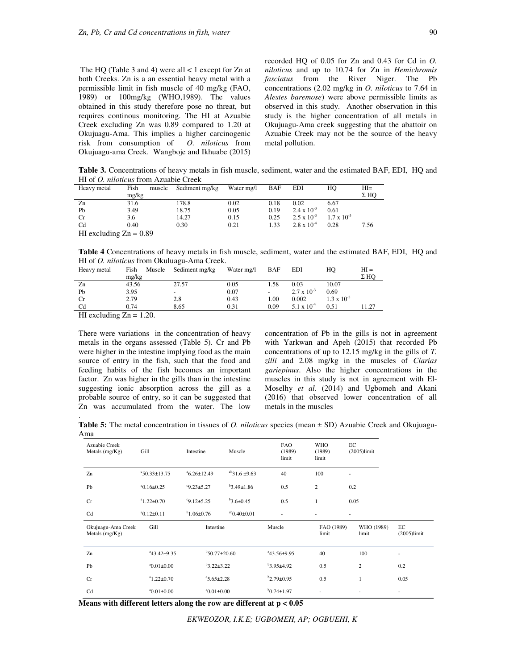The HQ (Table 3 and 4) were all < 1 except for Zn at both Creeks. Zn is a an essential heavy metal with a permissible limit in fish muscle of 40 mg/kg (FAO, 1989) or 100mg/kg (WHO,1989). The values obtained in this study therefore pose no threat, but requires continous monitoring. The HI at Azuabie Creek excluding Zn was 0.89 compared to 1.20 at Okujuagu-Ama. This implies a higher carcinogenic risk from consumption of *O. niloticus* from Okujuagu-ama Creek. Wangboje and Ikhuabe (2015) recorded HQ of 0.05 for Zn and 0.43 for Cd in *O. niloticus* and up to 10.74 for Zn in *Hemichromis fasciatus* from the River Niger. The Pb concentrations (2.02 mg/kg in *O. niloticus* to 7.64 in *Alestes baremose*) were above permissible limits as observed in this study. Another observation in this study is the higher concentration of all metals in Okujuagu-Ama creek suggesting that the abattoir on Azuabie Creek may not be the source of the heavy metal pollution.

**Table 3.** Concentrations of heavy metals in fish muscle, sediment, water and the estimated BAF, EDI, HQ and HI of *O. niloticus* from Azuabie Creek

| Heavy metal              | Fish  | muscle | Sediment mg/kg | Water mg/l | BAF  | EDI                  | HО                   | $HI=$       |
|--------------------------|-------|--------|----------------|------------|------|----------------------|----------------------|-------------|
|                          | mg/kg |        |                |            |      |                      |                      | $\Sigma$ HO |
| Zn                       | 31.6  |        | 178.8          | 0.02       | 0.18 | 0.02                 | 6.67                 |             |
| Pb                       | 3.49  |        | 18.75          | 0.05       | 0.19 | $2.4 \times 10^{-3}$ | 0.61                 |             |
| $_{\rm Cr}$              | 3.6   |        | 14.27          | 0.15       | 0.25 | $2.5 \times 10^{-3}$ | $1.7 \times 10^{-3}$ |             |
| C <sub>d</sub>           | 0.40  |        | 0.30           | 0.21       | 1.33 | $2.8 \times 10^{-4}$ | 0.28                 | 7.56        |
| HI excluding $Zn = 0.89$ |       |        |                |            |      |                      |                      |             |

**Table 4** Concentrations of heavy metals in fish muscle, sediment, water and the estimated BAF, EDI, HQ and HI of *O. niloticus* from Okuluagu-Ama Creek.

| Heavy metal    | Fish<br>Muscle | Sediment mg/kg | Water mg/l | <b>BAF</b> | <b>EDI</b>           | HO                   | $HI =$      |
|----------------|----------------|----------------|------------|------------|----------------------|----------------------|-------------|
|                | mg/kg          |                |            |            |                      |                      | $\Sigma$ HO |
| Zn             | 43.56          | 27.57          | 0.05       | 1.58       | 0.03                 | 10.07                |             |
| Pb             | 3.95           |                | 0.07       |            | $2.7 \times 10^{-3}$ | 0.69                 |             |
| Сr             | 2.79           | 2.8            | 0.43       | 1.00       | 0.002                | $1.3 \times 10^{-3}$ |             |
| C <sub>d</sub> | 0.74           | 8.65           | 0.31       | 0.09       | $5.1 \times 10^{-4}$ | 0.51                 | 1.27        |
|                |                |                |            |            |                      |                      |             |

HI excluding  $Zn = 1.20$ .

.

There were variations in the concentration of heavy metals in the organs assessed (Table 5). Cr and Pb were higher in the intestine implying food as the main source of entry in the fish, such that the food and feeding habits of the fish becomes an important factor. Zn was higher in the gills than in the intestine suggesting ionic absorption across the gill as a probable source of entry, so it can be suggested that Zn was accumulated from the water. The low

concentration of Pb in the gills is not in agreement with Yarkwan and Apeh (2015) that recorded Pb concentrations of up to 12.15 mg/kg in the gills of *T. zilli* and 2.08 mg/kg in the muscles of *Clarias gariepinus*. Also the higher concentrations in the muscles in this study is not in agreement with El-Moselhy *et al*. (2014) and Ugbomeh and Akani (2016) that observed lower concentration of all metals in the muscles

**Table 5:** The metal concentration in tissues of *O. niloticus* species (mean ± SD) Azuabie Creek and Okujuagu-Ama

| Azuabie Creek<br>Metals $(mg/Kg)$      | Gill                 | Intestine             | Muscle                   | <b>FAO</b><br>(1989)<br>limit | <b>WHO</b><br>(1989)<br>limit | EC   | $(2005)$ limit      |                      |
|----------------------------------------|----------------------|-----------------------|--------------------------|-------------------------------|-------------------------------|------|---------------------|----------------------|
| Zn                                     | $S$ 0.33 $\pm$ 13.75 | $^{a}6.26\pm12.49$    | $a^{ab}31.6 \pm 9.63$    | 40                            | 100                           | ٠    |                     |                      |
| Pb                                     | $a_{0.16\pm0.25}$    | $9.23 \pm 5.27$       | $b$ 3.49±1.86            | 0.5                           | $\mathfrak{2}$                | 0.2  |                     |                      |
| Cr                                     | $a_{1.22\pm0.70}$    | $9.12 \pm 5.25$       | $b$ 3.6 $\pm$ 0.45       | 0.5                           | $\mathbf{1}$                  | 0.05 |                     |                      |
| Cd                                     | $a_{0.12\pm0.11}$    | $b_{1.06\pm0.76}$     | $a^{ab}$ 0.40 $\pm$ 0.01 |                               |                               |      |                     |                      |
| Okujuagu-Ama Creek<br>Metals $(mg/Kg)$ | Gill                 | Intestine             |                          | Muscle                        | FAO (1989)<br>limit           |      | WHO (1989)<br>limit | EC<br>$(2005)$ limit |
| Zn                                     | $43.42 \pm 9.35$     | $b$ 50.77 $\pm$ 20.60 |                          | $43.56 \pm 9.95$              | 40                            |      | 100                 | ٠                    |
| Pb                                     | $0.01 \pm 0.00$      | $b_3.22 \pm 3.22$     |                          | $b$ 3.95±4.92                 | 0.5                           |      | $\overline{c}$      | 0.2                  |
| Cr                                     | $a_{1.22\pm0.70}$    | $05.65 \pm 2.28$      |                          | $b2.79 \pm 0.95$              | 0.5                           |      | $\mathbf{1}$        | 0.05                 |
| Cd                                     | $0.01 \pm 0.00$      | $0.01 \pm 0.00$       |                          | $b$ 0.74 $\pm$ 1.97           |                               |      |                     | ٠                    |

**Means with different letters along the row are different at p < 0.05**